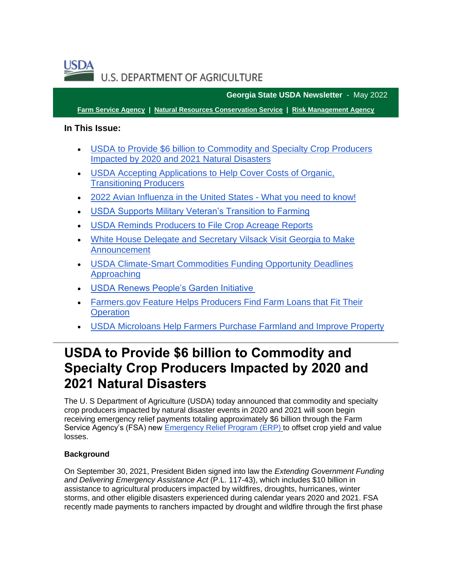**U.S. DEPARTMENT OF AGRICULTURE** 

**Georgia State USDA Newsletter** - May 2022

**[Farm Service Agency](https://gcc02.safelinks.protection.outlook.com/?url=https%3A%2F%2Ffsa.usda.gov%2F%3Futm_medium%3Demail%26utm_source%3Dgovdelivery&data=05%7C01%7C%7Cdf960476cece4d158a3308da38cd7c37%7Ced5b36e701ee4ebc867ee03cfa0d4697%7C0%7C0%7C637884752604152866%7CUnknown%7CTWFpbGZsb3d8eyJWIjoiMC4wLjAwMDAiLCJQIjoiV2luMzIiLCJBTiI6Ik1haWwiLCJXVCI6Mn0%3D%7C3000%7C%7C%7C&sdata=vYXKx%2BFjtKACyJXOF5D4QNMTJiXfgai71vSKTWwNmCg%3D&reserved=0) | [Natural Resources Conservation Service](https://gcc02.safelinks.protection.outlook.com/?url=https%3A%2F%2Fwww.nrcs.usda.gov%2Fwps%2Fportal%2Fnrcs%2Fsite%2Fnational%2Fhome%2F%3Futm_medium%3Demail%26utm_source%3Dgovdelivery&data=05%7C01%7C%7Cdf960476cece4d158a3308da38cd7c37%7Ced5b36e701ee4ebc867ee03cfa0d4697%7C0%7C0%7C637884752604152866%7CUnknown%7CTWFpbGZsb3d8eyJWIjoiMC4wLjAwMDAiLCJQIjoiV2luMzIiLCJBTiI6Ik1haWwiLCJXVCI6Mn0%3D%7C3000%7C%7C%7C&sdata=5c13hOtR2132zJNd2AzUz7rgFkFAu2C7iNymggYCYxo%3D&reserved=0) | [Risk Management Agency](https://gcc02.safelinks.protection.outlook.com/?url=https%3A%2F%2Frma.usda.gov%2F%3Futm_medium%3Demail%26utm_source%3Dgovdelivery&data=05%7C01%7C%7Cdf960476cece4d158a3308da38cd7c37%7Ced5b36e701ee4ebc867ee03cfa0d4697%7C0%7C0%7C637884752604152866%7CUnknown%7CTWFpbGZsb3d8eyJWIjoiMC4wLjAwMDAiLCJQIjoiV2luMzIiLCJBTiI6Ik1haWwiLCJXVCI6Mn0%3D%7C3000%7C%7C%7C&sdata=LX5B%2BRShzlHrHN2tEtW9tUkJadGOCalio7gcnjSCQTo%3D&reserved=0)**

### **In This Issue:**

- [USDA to Provide \\$6 billion to Commodity and Specialty Crop Producers](#page-0-0)  [Impacted by 2020 and 2021 Natural Disasters](#page-0-0)
- [USDA Accepting Applications to Help Cover Costs of Organic,](#page-3-0)  [Transitioning Producers](#page-3-0)
- [2022 Avian Influenza in the United States -](#page-4-0) What you need to know!
- [USDA Supports Military Veteran's Transition to Farming](#page-6-0)
- [USDA Reminds Producers to File Crop Acreage Reports](#page-6-1)
- [White House Delegate and Secretary Vilsack Visit Georgia to Make](#page-8-0)  [Announcement](#page-8-0)
- [USDA Climate-Smart Commodities Funding Opportunity Deadlines](#page-8-1)  [Approaching](#page-8-1)
- [USDA Renews People's Garden Initiative](#page-8-2)
- [Farmers.gov Feature Helps Producers Find Farm Loans that Fit Their](#page-9-0)  **[Operation](#page-9-0)**
- [USDA Microloans Help Farmers Purchase Farmland and Improve Property](#page-10-0)

## <span id="page-0-0"></span>**USDA to Provide \$6 billion to Commodity and Specialty Crop Producers Impacted by 2020 and 2021 Natural Disasters**

The U. S Department of Agriculture (USDA) today announced that commodity and specialty crop producers impacted by natural disaster events in 2020 and 2021 will soon begin receiving emergency relief payments totaling approximately \$6 billion through the Farm Service Agency's (FSA) new [Emergency Relief Program \(ERP\)](https://gcc02.safelinks.protection.outlook.com/?url=https%3A%2F%2Fwww.fsa.usda.gov%2Fprograms-and-services%2Femergency-relief%2Findex%3Futm_medium%3Demail%26utm_source%3Dgovdelivery&data=05%7C01%7C%7Cdf960476cece4d158a3308da38cd7c37%7Ced5b36e701ee4ebc867ee03cfa0d4697%7C0%7C0%7C637884752604152866%7CUnknown%7CTWFpbGZsb3d8eyJWIjoiMC4wLjAwMDAiLCJQIjoiV2luMzIiLCJBTiI6Ik1haWwiLCJXVCI6Mn0%3D%7C3000%7C%7C%7C&sdata=BhZ5ifNWOXp6jcwq9SVyYdBxOGD3chvmYi27rHoSo2k%3D&reserved=0) to offset crop yield and value losses.

### **Background**

On September 30, 2021, President Biden signed into law the *Extending Government Funding and Delivering Emergency Assistance Act* (P.L. 117-43), which includes \$10 billion in assistance to agricultural producers impacted by wildfires, droughts, hurricanes, winter storms, and other eligible disasters experienced during calendar years 2020 and 2021. FSA recently made payments to ranchers impacted by drought and wildfire through the first phase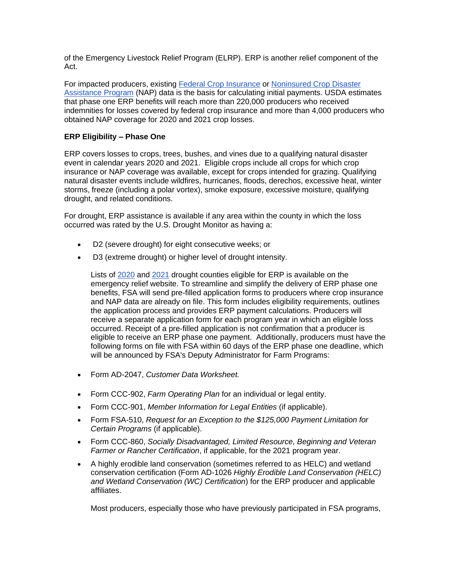of the Emergency Livestock Relief Program (ELRP). ERP is another relief component of the Act.

For impacted producers, existing [Federal Crop Insurance](https://gcc02.safelinks.protection.outlook.com/?url=https%3A%2F%2Frma.usda.gov%2F%3Futm_medium%3Demail%26utm_source%3Dgovdelivery&data=05%7C01%7C%7Cdf960476cece4d158a3308da38cd7c37%7Ced5b36e701ee4ebc867ee03cfa0d4697%7C0%7C0%7C637884752604152866%7CUnknown%7CTWFpbGZsb3d8eyJWIjoiMC4wLjAwMDAiLCJQIjoiV2luMzIiLCJBTiI6Ik1haWwiLCJXVCI6Mn0%3D%7C3000%7C%7C%7C&sdata=LX5B%2BRShzlHrHN2tEtW9tUkJadGOCalio7gcnjSCQTo%3D&reserved=0) or [Noninsured Crop Disaster](https://gcc02.safelinks.protection.outlook.com/?url=https%3A%2F%2Fwww.fsa.usda.gov%2Fprograms-and-services%2Fdisaster-assistance-program%2Fnoninsured-crop-disaster-assistance%2Findex%3Futm_medium%3Demail%26utm_source%3Dgovdelivery&data=05%7C01%7C%7Cdf960476cece4d158a3308da38cd7c37%7Ced5b36e701ee4ebc867ee03cfa0d4697%7C0%7C0%7C637884752604152866%7CUnknown%7CTWFpbGZsb3d8eyJWIjoiMC4wLjAwMDAiLCJQIjoiV2luMzIiLCJBTiI6Ik1haWwiLCJXVCI6Mn0%3D%7C3000%7C%7C%7C&sdata=yAvq9itY0IxGsxCA%2BOK9TLCJ7sIG3d2hWZVkMLiiR9w%3D&reserved=0)  [Assistance Program](https://gcc02.safelinks.protection.outlook.com/?url=https%3A%2F%2Fwww.fsa.usda.gov%2Fprograms-and-services%2Fdisaster-assistance-program%2Fnoninsured-crop-disaster-assistance%2Findex%3Futm_medium%3Demail%26utm_source%3Dgovdelivery&data=05%7C01%7C%7Cdf960476cece4d158a3308da38cd7c37%7Ced5b36e701ee4ebc867ee03cfa0d4697%7C0%7C0%7C637884752604152866%7CUnknown%7CTWFpbGZsb3d8eyJWIjoiMC4wLjAwMDAiLCJQIjoiV2luMzIiLCJBTiI6Ik1haWwiLCJXVCI6Mn0%3D%7C3000%7C%7C%7C&sdata=yAvq9itY0IxGsxCA%2BOK9TLCJ7sIG3d2hWZVkMLiiR9w%3D&reserved=0) (NAP) data is the basis for calculating initial payments. USDA estimates that phase one ERP benefits will reach more than 220,000 producers who received indemnities for losses covered by federal crop insurance and more than 4,000 producers who obtained NAP coverage for 2020 and 2021 crop losses.

### **ERP Eligibility – Phase One**

ERP covers losses to crops, trees, bushes, and vines due to a qualifying natural disaster event in calendar years 2020 and 2021. Eligible crops include all crops for which crop insurance or NAP coverage was available, except for crops intended for grazing. Qualifying natural disaster events include wildfires, hurricanes, floods, derechos, excessive heat, winter storms, freeze (including a polar vortex), smoke exposure, excessive moisture, qualifying drought, and related conditions.

For drought, ERP assistance is available if any area within the county in which the loss occurred was rated by the U.S. Drought Monitor as having a:

- D2 (severe drought) for eight consecutive weeks; or
- D3 (extreme drought) or higher level of drought intensity.

Lists of [2020](https://gcc02.safelinks.protection.outlook.com/?url=https%3A%2F%2Fwww.fsa.usda.gov%2FAssets%2FUSDA-FSA-Public%2Fusdafiles%2FFactSheets%2F2022%2Ffsa_erp_2020_drought_counties_factsheet.pdf%3Futm_medium%3Demail%26utm_source%3Dgovdelivery&data=05%7C01%7C%7Cdf960476cece4d158a3308da38cd7c37%7Ced5b36e701ee4ebc867ee03cfa0d4697%7C0%7C0%7C637884752604152866%7CUnknown%7CTWFpbGZsb3d8eyJWIjoiMC4wLjAwMDAiLCJQIjoiV2luMzIiLCJBTiI6Ik1haWwiLCJXVCI6Mn0%3D%7C3000%7C%7C%7C&sdata=H317Q1a9Hf8K2ZeKJR1Pwmucd3WFH8uGrPIsEut%2Fb0Q%3D&reserved=0) and [2021](https://gcc02.safelinks.protection.outlook.com/?url=https%3A%2F%2Fwww.fsa.usda.gov%2FAssets%2FUSDA-FSA-Public%2Fusdafiles%2FFactSheets%2F2022%2Ffsa_erp_2021_drought_counties_factsheet.pdf%3Futm_medium%3Demail%26utm_source%3Dgovdelivery&data=05%7C01%7C%7Cdf960476cece4d158a3308da38cd7c37%7Ced5b36e701ee4ebc867ee03cfa0d4697%7C0%7C0%7C637884752604152866%7CUnknown%7CTWFpbGZsb3d8eyJWIjoiMC4wLjAwMDAiLCJQIjoiV2luMzIiLCJBTiI6Ik1haWwiLCJXVCI6Mn0%3D%7C3000%7C%7C%7C&sdata=BVqpn6usV2umCT3zB%2FHdyBPg6EaDhY4k4%2BS0iz%2BokvM%3D&reserved=0) drought counties eligible for ERP is available on the emergency relief website. To streamline and simplify the delivery of ERP phase one benefits, FSA will send pre-filled application forms to producers where crop insurance and NAP data are already on file. This form includes eligibility requirements, outlines the application process and provides ERP payment calculations. Producers will receive a separate application form for each program year in which an eligible loss occurred. Receipt of a pre-filled application is not confirmation that a producer is eligible to receive an ERP phase one payment. Additionally, producers must have the following forms on file with FSA within 60 days of the ERP phase one deadline, which will be announced by FSA's Deputy Administrator for Farm Programs:

- Form AD-2047, *Customer Data Worksheet.*
- Form CCC-902, *Farm Operating Plan* for an individual or legal entity.
- Form CCC-901, *Member Information for Legal Entities* (if applicable).
- Form FSA-510, *Request for an Exception to the \$125,000 Payment Limitation for Certain Programs* (if applicable).
- Form CCC-860, *Socially Disadvantaged, Limited Resource, Beginning and Veteran Farmer or Rancher Certification*, if applicable, for the 2021 program year.
- A highly erodible land conservation (sometimes referred to as HELC) and wetland conservation certification (Form AD-1026 *Highly Erodible Land Conservation (HELC) and Wetland Conservation (WC) Certification*) for the ERP producer and applicable affiliates.

Most producers, especially those who have previously participated in FSA programs,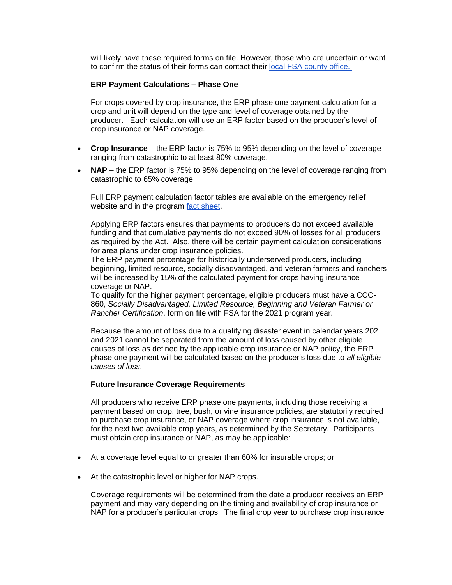will likely have these required forms on file. However, those who are uncertain or want to confirm the status of their forms can contact their [local FSA county office.](https://www.farmers.gov/working-with-us/service-center-locator?utm_medium=email&utm_source=govdelivery) 

#### **ERP Payment Calculations – Phase One**

For crops covered by crop insurance, the ERP phase one payment calculation for a crop and unit will depend on the type and level of coverage obtained by the producer. Each calculation will use an ERP factor based on the producer's level of crop insurance or NAP coverage.

- **Crop Insurance** the ERP factor is 75% to 95% depending on the level of coverage ranging from catastrophic to at least 80% coverage.
- **NAP** the ERP factor is 75% to 95% depending on the level of coverage ranging from catastrophic to 65% coverage.

Full ERP payment calculation factor tables are available on the emergency relief website and in the program [fact sheet.](https://gcc02.safelinks.protection.outlook.com/?url=https%3A%2F%2Fwww.fsa.usda.gov%2FAssets%2FUSDA-FSA-Public%2Fusdafiles%2FFactSheets%2F2022%2Ffsa_erp_factsheet_2022_051222_final_v2.pdf%3Futm_medium%3Demail%26utm_source%3Dgovdelivery&data=05%7C01%7C%7Cdf960476cece4d158a3308da38cd7c37%7Ced5b36e701ee4ebc867ee03cfa0d4697%7C0%7C0%7C637884752604152866%7CUnknown%7CTWFpbGZsb3d8eyJWIjoiMC4wLjAwMDAiLCJQIjoiV2luMzIiLCJBTiI6Ik1haWwiLCJXVCI6Mn0%3D%7C3000%7C%7C%7C&sdata=BHiEkW%2FQlyX9qd%2FAvnz2chs65tCdC0tTNrEzPi%2FjwFA%3D&reserved=0)

Applying ERP factors ensures that payments to producers do not exceed available funding and that cumulative payments do not exceed 90% of losses for all producers as required by the Act. Also, there will be certain payment calculation considerations for area plans under crop insurance policies.

The ERP payment percentage for historically underserved producers, including beginning, limited resource, socially disadvantaged, and veteran farmers and ranchers will be increased by 15% of the calculated payment for crops having insurance coverage or NAP.

To qualify for the higher payment percentage, eligible producers must have a CCC-860, *Socially Disadvantaged, Limited Resource, Beginning and Veteran Farmer or Rancher Certification*, form on file with FSA for the 2021 program year.

Because the amount of loss due to a qualifying disaster event in calendar years 202 and 2021 cannot be separated from the amount of loss caused by other eligible causes of loss as defined by the applicable crop insurance or NAP policy, the ERP phase one payment will be calculated based on the producer's loss due to *all eligible causes of loss*.

#### **Future Insurance Coverage Requirements**

All producers who receive ERP phase one payments, including those receiving a payment based on crop, tree, bush, or vine insurance policies, are statutorily required to purchase crop insurance, or NAP coverage where crop insurance is not available, for the next two available crop years, as determined by the Secretary. Participants must obtain crop insurance or NAP, as may be applicable:

- At a coverage level equal to or greater than 60% for insurable crops; or
- At the catastrophic level or higher for NAP crops.

Coverage requirements will be determined from the date a producer receives an ERP payment and may vary depending on the timing and availability of crop insurance or NAP for a producer's particular crops. The final crop year to purchase crop insurance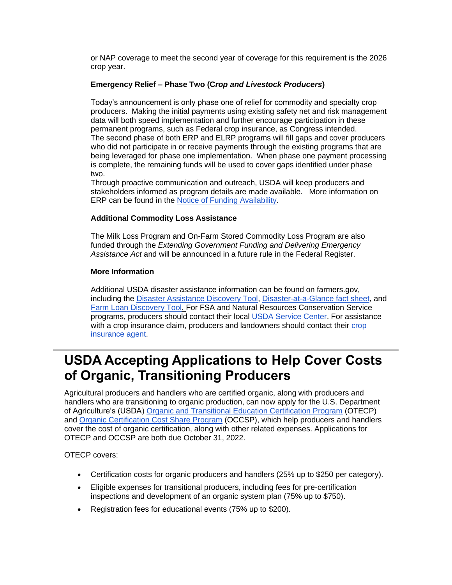or NAP coverage to meet the second year of coverage for this requirement is the 2026 crop year.

### **Emergency Relief – Phase Two (C***rop and Livestock Producers***)**

Today's announcement is only phase one of relief for commodity and specialty crop producers. Making the initial payments using existing safety net and risk management data will both speed implementation and further encourage participation in these permanent programs, such as Federal crop insurance, as Congress intended. The second phase of both ERP and ELRP programs will fill gaps and cover producers who did not participate in or receive payments through the existing programs that are being leveraged for phase one implementation. When phase one payment processing is complete, the remaining funds will be used to cover gaps identified under phase two.

Through proactive communication and outreach, USDA will keep producers and stakeholders informed as program details are made available. More information on ERP can be found in the [Notice of Funding Availability.](https://gcc02.safelinks.protection.outlook.com/?url=https%3A%2F%2Fwww.fsa.usda.gov%2FAssets%2FUSDA-FSA-Public%2Fusdafiles%2Femergency-relief-program%2Fpdfs%2Ferp_nofa_fsa_5-12-2022.pdf%3Futm_medium%3Demail%26utm_source%3Dgovdelivery&data=05%7C01%7C%7Cdf960476cece4d158a3308da38cd7c37%7Ced5b36e701ee4ebc867ee03cfa0d4697%7C0%7C0%7C637884752604152866%7CUnknown%7CTWFpbGZsb3d8eyJWIjoiMC4wLjAwMDAiLCJQIjoiV2luMzIiLCJBTiI6Ik1haWwiLCJXVCI6Mn0%3D%7C3000%7C%7C%7C&sdata=9x%2FyVexNFfpmVyF2Zr7nfhqwkvrAaHOKfITQRP4Yxt4%3D&reserved=0)

### **Additional Commodity Loss Assistance**

The Milk Loss Program and On-Farm Stored Commodity Loss Program are also funded through the *Extending Government Funding and Delivering Emergency Assistance Act* and will be announced in a future rule in the Federal Register.

### **More Information**

Additional USDA disaster assistance information can be found on farmers.gov, including the [Disaster Assistance Discovery Tool,](https://www.farmers.gov/node/28989?utm_medium=email&utm_source=govdelivery) [Disaster-at-a-Glance fact sheet,](https://www.farmers.gov/sites/default/files/2020-04/FSA_DisasterAssistance_at_a_glance_brochure_.pdf?utm_medium=email&utm_source=govdelivery) and [Farm Loan Discovery Tool.](https://www.farmers.gov/fund/farm-loan-discovery-tool?utm_medium=email&utm_source=govdelivery) For FSA and Natural Resources Conservation Service programs, producers should contact their local [USDA Service Center.](http://www.farmers.gov/service-center-locator?utm_medium=email&utm_source=govdelivery) For assistance with a crop insurance claim, producers and landowners should contact their [crop](https://gcc02.safelinks.protection.outlook.com/?url=https%3A%2F%2Fpublic.rma.usda.gov%2FAipListing%2FInsuranceProviders%3Futm_medium%3Demail%26utm_source%3Dgovdelivery&data=05%7C01%7C%7Cdf960476cece4d158a3308da38cd7c37%7Ced5b36e701ee4ebc867ee03cfa0d4697%7C0%7C0%7C637884752604152866%7CUnknown%7CTWFpbGZsb3d8eyJWIjoiMC4wLjAwMDAiLCJQIjoiV2luMzIiLCJBTiI6Ik1haWwiLCJXVCI6Mn0%3D%7C3000%7C%7C%7C&sdata=53oBDPLMRyUr6%2FPD8W8kCddCBA3vvDjJLo6MxJRm6ps%3D&reserved=0)  [insurance agent.](https://gcc02.safelinks.protection.outlook.com/?url=https%3A%2F%2Fpublic.rma.usda.gov%2FAipListing%2FInsuranceProviders%3Futm_medium%3Demail%26utm_source%3Dgovdelivery&data=05%7C01%7C%7Cdf960476cece4d158a3308da38cd7c37%7Ced5b36e701ee4ebc867ee03cfa0d4697%7C0%7C0%7C637884752604152866%7CUnknown%7CTWFpbGZsb3d8eyJWIjoiMC4wLjAwMDAiLCJQIjoiV2luMzIiLCJBTiI6Ik1haWwiLCJXVCI6Mn0%3D%7C3000%7C%7C%7C&sdata=53oBDPLMRyUr6%2FPD8W8kCddCBA3vvDjJLo6MxJRm6ps%3D&reserved=0)

## <span id="page-3-0"></span>**USDA Accepting Applications to Help Cover Costs of Organic, Transitioning Producers**

Agricultural producers and handlers who are certified organic, along with producers and handlers who are transitioning to organic production, can now apply for the U.S. Department of Agriculture's (USDA) [Organic and Transitional Education Certification Program](https://www.farmers.gov/pandemic-assistance/otecp?utm_medium=email&utm_source=govdelivery) (OTECP) and [Organic Certification Cost Share Program](https://gcc02.safelinks.protection.outlook.com/?url=https%3A%2F%2Fwww.fsa.usda.gov%2Fprograms-and-services%2Foccsp%2Findex%3Futm_medium%3Demail%26utm_source%3Dgovdelivery&data=05%7C01%7C%7Cdf960476cece4d158a3308da38cd7c37%7Ced5b36e701ee4ebc867ee03cfa0d4697%7C0%7C0%7C637884752604152866%7CUnknown%7CTWFpbGZsb3d8eyJWIjoiMC4wLjAwMDAiLCJQIjoiV2luMzIiLCJBTiI6Ik1haWwiLCJXVCI6Mn0%3D%7C3000%7C%7C%7C&sdata=8POZFasdqXlIJ%2FMq%2FRcY3W4h1T5QXJLMGejrVdho%2Fjw%3D&reserved=0) (OCCSP), which help producers and handlers cover the cost of organic certification, along with other related expenses. Applications for OTECP and OCCSP are both due October 31, 2022.

OTECP covers:

- Certification costs for organic producers and handlers (25% up to \$250 per category).
- Eligible expenses for transitional producers, including fees for pre-certification inspections and development of an organic system plan (75% up to \$750).
- Registration fees for educational events (75% up to \$200).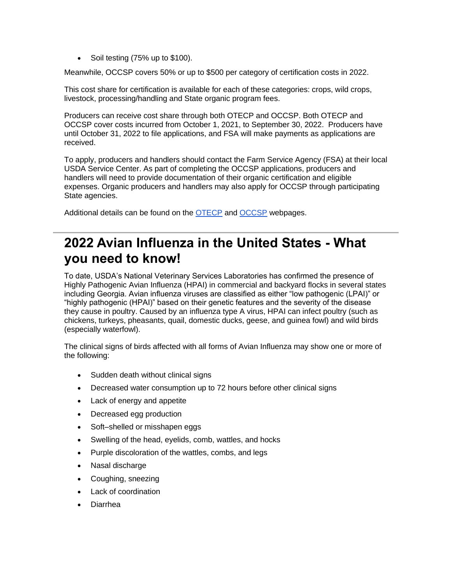• Soil testing (75% up to \$100).

Meanwhile, OCCSP covers 50% or up to \$500 per category of certification costs in 2022.

This cost share for certification is available for each of these categories: crops, wild crops, livestock, processing/handling and State organic program fees.

Producers can receive cost share through both OTECP and OCCSP. Both OTECP and OCCSP cover costs incurred from October 1, 2021, to September 30, 2022. Producers have until October 31, 2022 to file applications, and FSA will make payments as applications are received.

To apply, producers and handlers should contact the Farm Service Agency (FSA) at their local USDA Service Center. As part of completing the OCCSP applications, producers and handlers will need to provide documentation of their organic certification and eligible expenses. Organic producers and handlers may also apply for OCCSP through participating State agencies.

Additional details can be found on the [OTECP](https://www.farmers.gov/pandemic-assistance/otecp?utm_medium=email&utm_source=govdelivery) and [OCCSP](https://gcc02.safelinks.protection.outlook.com/?url=https%3A%2F%2Fwww.fsa.usda.gov%2Fprograms-and-services%2Foccsp%2Findex%3Futm_medium%3Demail%26utm_source%3Dgovdelivery&data=05%7C01%7C%7Cdf960476cece4d158a3308da38cd7c37%7Ced5b36e701ee4ebc867ee03cfa0d4697%7C0%7C0%7C637884752604152866%7CUnknown%7CTWFpbGZsb3d8eyJWIjoiMC4wLjAwMDAiLCJQIjoiV2luMzIiLCJBTiI6Ik1haWwiLCJXVCI6Mn0%3D%7C3000%7C%7C%7C&sdata=8POZFasdqXlIJ%2FMq%2FRcY3W4h1T5QXJLMGejrVdho%2Fjw%3D&reserved=0) webpages.

## <span id="page-4-0"></span>**2022 Avian Influenza in the United States - What you need to know!**

To date, USDA's National Veterinary Services Laboratories has confirmed the presence of Highly Pathogenic Avian Influenza (HPAI) in commercial and backyard flocks in several states including Georgia. Avian influenza viruses are classified as either "low pathogenic (LPAI)" or "highly pathogenic (HPAI)" based on their genetic features and the severity of the disease they cause in poultry. Caused by an influenza type A virus, HPAI can infect poultry (such as chickens, turkeys, pheasants, quail, domestic ducks, geese, and guinea fowl) and wild birds (especially waterfowl).

The clinical signs of birds affected with all forms of Avian Influenza may show one or more of the following:

- Sudden death without clinical signs
- Decreased water consumption up to 72 hours before other clinical signs
- Lack of energy and appetite
- Decreased egg production
- Soft–shelled or misshapen eggs
- Swelling of the head, eyelids, comb, wattles, and hocks
- Purple discoloration of the wattles, combs, and legs
- Nasal discharge
- Coughing, sneezing
- Lack of coordination
- Diarrhea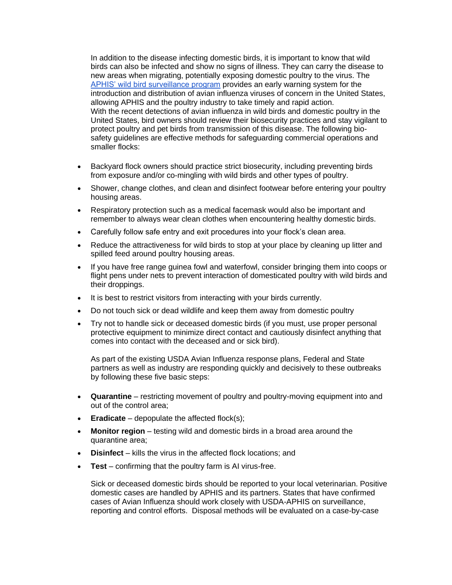In addition to the disease infecting domestic birds, it is important to know that wild birds can also be infected and show no signs of illness. They can carry the disease to new areas when migrating, potentially exposing domestic poultry to the virus. The [APHIS' wild bird surveillance program](https://www.aphis.usda.gov/aphis/ourfocus/animalhealth/animal-disease-information/avian/avian-influenza/defend-the-flock-ai-wild-birds?utm_medium=email&utm_source=govdelivery) provides an early warning system for the introduction and distribution of avian influenza viruses of concern in the United States, allowing APHIS and the poultry industry to take timely and rapid action. With the recent detections of avian influenza in wild birds and domestic poultry in the United States, bird owners should review their biosecurity practices and stay vigilant to protect poultry and pet birds from transmission of this disease. The following biosafety guidelines are effective methods for safeguarding commercial operations and smaller flocks:

- Backyard flock owners should practice strict biosecurity, including preventing birds from exposure and/or co-mingling with wild birds and other types of poultry.
- Shower, change clothes, and clean and disinfect footwear before entering your poultry housing areas.
- Respiratory protection such as a medical facemask would also be important and remember to always wear clean clothes when encountering healthy domestic birds.
- Carefully follow safe entry and exit procedures into your flock's clean area.
- Reduce the attractiveness for wild birds to stop at your place by cleaning up litter and spilled feed around poultry housing areas.
- If you have free range guinea fowl and waterfowl, consider bringing them into coops or flight pens under nets to prevent interaction of domesticated poultry with wild birds and their droppings.
- It is best to restrict visitors from interacting with your birds currently.
- Do not touch sick or dead wildlife and keep them away from domestic poultry
- Try not to handle sick or deceased domestic birds (if you must, use proper personal protective equipment to minimize direct contact and cautiously disinfect anything that comes into contact with the deceased and or sick bird).

As part of the existing USDA Avian Influenza response plans, Federal and State partners as well as industry are responding quickly and decisively to these outbreaks by following these five basic steps:

- **Quarantine** restricting movement of poultry and poultry-moving equipment into and out of the control area;
- **Eradicate** depopulate the affected flock(s);
- **Monitor region** testing wild and domestic birds in a broad area around the quarantine area;
- **Disinfect** kills the virus in the affected flock locations; and
- **Test** confirming that the poultry farm is AI virus-free.

Sick or deceased domestic birds should be reported to your local veterinarian. Positive domestic cases are handled by APHIS and its partners. States that have confirmed cases of Avian Influenza should work closely with USDA-APHIS on surveillance, reporting and control efforts. Disposal methods will be evaluated on a case-by-case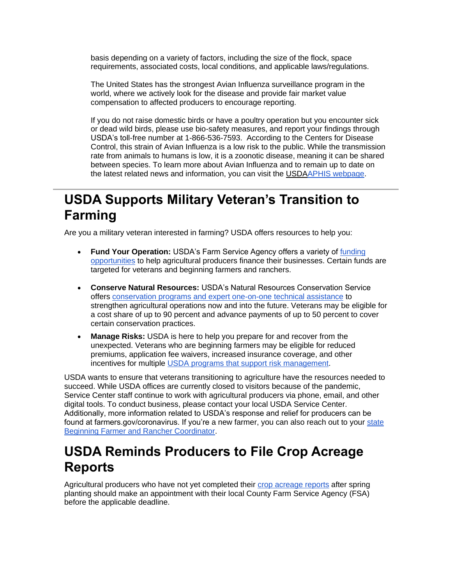basis depending on a variety of factors, including the size of the flock, space requirements, associated costs, local conditions, and applicable laws/regulations.

The United States has the strongest Avian Influenza surveillance program in the world, where we actively look for the disease and provide fair market value compensation to affected producers to encourage reporting.

If you do not raise domestic birds or have a poultry operation but you encounter sick or dead wild birds, please use bio-safety measures, and report your findings through USDA's toll-free number at 1-866-536-7593. According to the Centers for Disease Control, this strain of Avian Influenza is a low risk to the public. While the transmission rate from animals to humans is low, it is a zoonotic disease, meaning it can be shared between species. To learn more about Avian Influenza and to remain up to date on the latest related news and information, you can visit the USD[AAPHIS webpage.](https://www.aphis.usda.gov/aphis/ourfocus/animalhealth/animal-disease-information/avian/avian-influenza/hpai-2022?utm_medium=email&utm_source=govdelivery)

# <span id="page-6-0"></span>**USDA Supports Military Veteran's Transition to Farming**

Are you a military veteran interested in farming? USDA offers resources to help you:

- **Fund Your Operation:** USDA's Farm Service Agency offers a variety of [funding](https://www.farmers.gov/fund?utm_medium=email&utm_source=govdelivery)  [opportunities](https://www.farmers.gov/fund?utm_medium=email&utm_source=govdelivery) to help agricultural producers finance their businesses. Certain funds are targeted for veterans and beginning farmers and ranchers.
- **Conserve Natural Resources:** USDA's Natural Resources Conservation Service offers [conservation programs and expert one-on-one technical assistance](https://www.farmers.gov/conserve?utm_medium=email&utm_source=govdelivery) to strengthen agricultural operations now and into the future. Veterans may be eligible for a cost share of up to 90 percent and advance payments of up to 50 percent to cover certain conservation practices.
- **Manage Risks:** USDA is here to help you prepare for and recover from the unexpected. Veterans who are beginning farmers may be eligible for reduced premiums, application fee waivers, increased insurance coverage, and other incentives for multiple [USDA programs that support risk management.](https://www.farmers.gov/manage?utm_medium=email&utm_source=govdelivery)

USDA wants to ensure that veterans transitioning to agriculture have the resources needed to succeed. While USDA offices are currently closed to visitors because of the pandemic, Service Center staff continue to work with agricultural producers via phone, email, and other digital tools. To conduct business, please contact your local USDA Service Center. Additionally, more information related to USDA's response and relief for producers can be found at farmers.gov/coronavirus. If you're a new farmer, you can also reach out to your state [Beginning Farmer and Rancher Coordinator.](https://www.farmers.gov/manage/newfarmers/coordinators?utm_medium=email&utm_source=govdelivery)

# <span id="page-6-1"></span>**USDA Reminds Producers to File Crop Acreage Reports**

Agricultural producers who have not yet completed their [crop acreage reports](https://www.farmers.gov/crop-acreage-reports?utm_medium=email&utm_source=govdelivery) after spring planting should make an appointment with their local County Farm Service Agency (FSA) before the applicable deadline.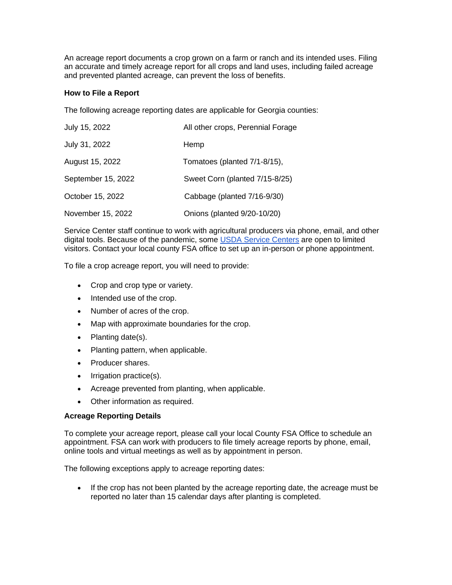An acreage report documents a crop grown on a farm or ranch and its intended uses. Filing an accurate and timely acreage report for all crops and land uses, including failed acreage and prevented planted acreage, can prevent the loss of benefits.

### **How to File a Report**

The following acreage reporting dates are applicable for Georgia counties:

| July 15, 2022      | All other crops, Perennial Forage |
|--------------------|-----------------------------------|
| July 31, 2022      | Hemp                              |
| August 15, 2022    | Tomatoes (planted 7/1-8/15),      |
| September 15, 2022 | Sweet Corn (planted 7/15-8/25)    |
| October 15, 2022   | Cabbage (planted 7/16-9/30)       |
| November 15, 2022  | Onions (planted 9/20-10/20)       |

Service Center staff continue to work with agricultural producers via phone, email, and other digital tools. Because of the pandemic, some [USDA Service Centers](http://www.farmers.gov/service-locator?utm_medium=email&utm_source=govdelivery) are open to limited visitors. Contact your local county FSA office to set up an in-person or phone appointment.

To file a crop acreage report, you will need to provide:

- Crop and crop type or variety.
- Intended use of the crop.
- Number of acres of the crop.
- Map with approximate boundaries for the crop.
- Planting date(s).
- Planting pattern, when applicable.
- Producer shares.
- Irrigation practice(s).
- Acreage prevented from planting, when applicable.
- Other information as required.

### **Acreage Reporting Details**

To complete your acreage report, please call your local County FSA Office to schedule an appointment. FSA can work with producers to file timely acreage reports by phone, email, online tools and virtual meetings as well as by appointment in person.

The following exceptions apply to acreage reporting dates:

• If the crop has not been planted by the acreage reporting date, the acreage must be reported no later than 15 calendar days after planting is completed.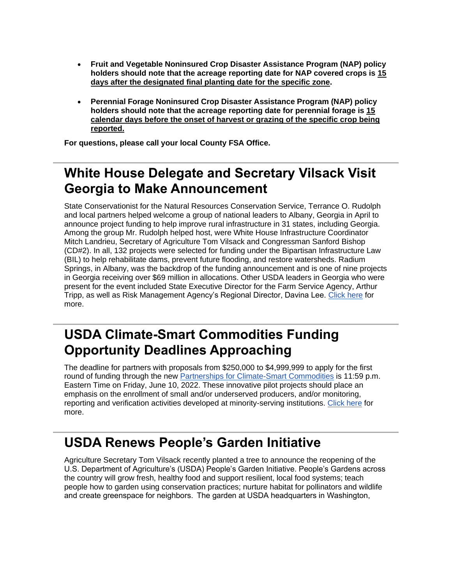- **Fruit and Vegetable Noninsured Crop Disaster Assistance Program (NAP) policy holders should note that the acreage reporting date for NAP covered crops is 15 days after the designated final planting date for the specific zone.**
- **Perennial Forage Noninsured Crop Disaster Assistance Program (NAP) policy holders should note that the acreage reporting date for perennial forage is 15 calendar days before the onset of harvest or grazing of the specific crop being reported.**

**For questions, please call your local County FSA Office.**

# <span id="page-8-0"></span>**White House Delegate and Secretary Vilsack Visit Georgia to Make Announcement**

State Conservationist for the Natural Resources Conservation Service, Terrance O. Rudolph and local partners helped welcome a group of national leaders to Albany, Georgia in April to announce project funding to help improve rural infrastructure in 31 states, including Georgia. Among the group Mr. Rudolph helped host, were White House Infrastructure Coordinator Mitch Landrieu, Secretary of Agriculture Tom Vilsack and Congressman Sanford Bishop (CD#2). In all, 132 projects were selected for funding under the Bipartisan Infrastructure Law (BIL) to help rehabilitate dams, prevent future flooding, and restore watersheds. Radium Springs, in Albany, was the backdrop of the funding announcement and is one of nine projects in Georgia receiving over \$69 million in allocations. Other USDA leaders in Georgia who were present for the event included State Executive Director for the Farm Service Agency, Arthur Tripp, as well as Risk Management Agency's Regional Director, Davina Lee. [Click here](https://gcc02.safelinks.protection.outlook.com/?url=https%3A%2F%2Fwww.nrcs.usda.gov%2Fwps%2Fportal%2Fnrcs%2Fdetail%2Fga%2Fnewsroom%2Freleases%2F%3Fcid%3DNRCSEPRD1914422%26utm_medium%3Demail%26utm_source%3Dgovdelivery&data=05%7C01%7C%7Cdf960476cece4d158a3308da38cd7c37%7Ced5b36e701ee4ebc867ee03cfa0d4697%7C0%7C0%7C637884752604152866%7CUnknown%7CTWFpbGZsb3d8eyJWIjoiMC4wLjAwMDAiLCJQIjoiV2luMzIiLCJBTiI6Ik1haWwiLCJXVCI6Mn0%3D%7C3000%7C%7C%7C&sdata=XgaJ8PWKBDPYlk4o6sRYTQ4rlkwZcB6FBI26EUvyuvY%3D&reserved=0) for more.

## <span id="page-8-1"></span>**USDA Climate-Smart Commodities Funding Opportunity Deadlines Approaching**

The deadline for partners with proposals from \$250,000 to \$4,999,999 to apply for the first round of funding through the new [Partnerships for Climate-Smart Commodities](https://www.usda.gov/climate-solutions/climate-smart-commodities?utm_medium=email&utm_source=govdelivery) is 11:59 p.m. Eastern Time on Friday, June 10, 2022. These innovative pilot projects should place an emphasis on the enrollment of small and/or underserved producers, and/or monitoring, reporting and verification activities developed at minority-serving institutions. [Click here](https://gcc02.safelinks.protection.outlook.com/?url=https%3A%2F%2Fwww.nrcs.usda.gov%2Fwps%2Fportal%2Fnrcs%2Fdetail%2Fga%2Fnewsroom%2Freleases%2F%3Fcid%3DNRCSEPRD1917036%26utm_medium%3Demail%26utm_source%3Dgovdelivery&data=05%7C01%7C%7Cdf960476cece4d158a3308da38cd7c37%7Ced5b36e701ee4ebc867ee03cfa0d4697%7C0%7C0%7C637884752604152866%7CUnknown%7CTWFpbGZsb3d8eyJWIjoiMC4wLjAwMDAiLCJQIjoiV2luMzIiLCJBTiI6Ik1haWwiLCJXVCI6Mn0%3D%7C3000%7C%7C%7C&sdata=TKPVg4Mu3u4buOigMmXGqosrGqTnqKjLKsygJsrCvI0%3D&reserved=0) for more.

# <span id="page-8-2"></span>**USDA Renews People's Garden Initiative**

Agriculture Secretary Tom Vilsack recently planted a tree to announce the reopening of the U.S. Department of Agriculture's (USDA) People's Garden Initiative. People's Gardens across the country will grow fresh, healthy food and support resilient, local food systems; teach people how to garden using conservation practices; nurture habitat for pollinators and wildlife and create greenspace for neighbors.  The garden at USDA headquarters in Washington,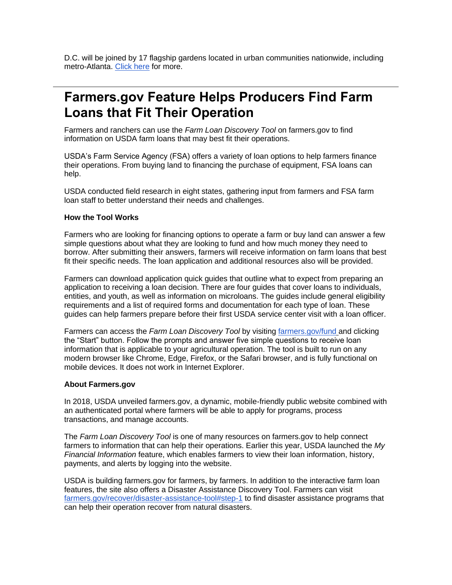D.C. will be joined by 17 flagship gardens located in urban communities nationwide, including metro-Atlanta. [Click here](https://gcc02.safelinks.protection.outlook.com/?url=https%3A%2F%2Fwww.nrcs.usda.gov%2Fwps%2Fportal%2Fnrcs%2Fdetail%2Fga%2Fnewsroom%2Freleases%2F%3Fcid%3DNRCSEPRD1918422%26utm_medium%3Demail%26utm_source%3Dgovdelivery&data=05%7C01%7C%7Cdf960476cece4d158a3308da38cd7c37%7Ced5b36e701ee4ebc867ee03cfa0d4697%7C0%7C0%7C637884752604152866%7CUnknown%7CTWFpbGZsb3d8eyJWIjoiMC4wLjAwMDAiLCJQIjoiV2luMzIiLCJBTiI6Ik1haWwiLCJXVCI6Mn0%3D%7C3000%7C%7C%7C&sdata=i8eUtKI%2BOpA4ji2RcokdVskLuN5BVeNHk8PnMcvhi0Q%3D&reserved=0) for more.

## <span id="page-9-0"></span>**Farmers.gov Feature Helps Producers Find Farm Loans that Fit Their Operation**

Farmers and ranchers can use the *Farm Loan Discovery Tool* on farmers.gov to find information on USDA farm loans that may best fit their operations.

USDA's Farm Service Agency (FSA) offers a variety of loan options to help farmers finance their operations. From buying land to financing the purchase of equipment, FSA loans can help.

USDA conducted field research in eight states, gathering input from farmers and FSA farm loan staff to better understand their needs and challenges.

### **How the Tool Works**

Farmers who are looking for financing options to operate a farm or buy land can answer a few simple questions about what they are looking to fund and how much money they need to borrow. After submitting their answers, farmers will receive information on farm loans that best fit their specific needs. The loan application and additional resources also will be provided.

Farmers can download application quick guides that outline what to expect from preparing an application to receiving a loan decision. There are four guides that cover loans to individuals, entities, and youth, as well as information on microloans. The guides include general eligibility requirements and a list of required forms and documentation for each type of loan. These guides can help farmers prepare before their first USDA service center visit with a loan officer.

Farmers can access the *Farm Loan Discovery Tool* by visiting [farmers.gov/fund](https://www.farmers.gov/fund?utm_medium=email&utm_source=govdelivery) and clicking the "Start" button. Follow the prompts and answer five simple questions to receive loan information that is applicable to your agricultural operation. The tool is built to run on any modern browser like Chrome, Edge, Firefox, or the Safari browser, and is fully functional on mobile devices. It does not work in Internet Explorer.

#### **About Farmers.gov**

In 2018, USDA unveiled farmers.gov, a dynamic, mobile-friendly public website combined with an authenticated portal where farmers will be able to apply for programs, process transactions, and manage accounts.

The *Farm Loan Discovery Tool* is one of many resources on farmers.gov to help connect farmers to information that can help their operations. Earlier this year, USDA launched the *My Financial Information* feature, which enables farmers to view their loan information, history, payments, and alerts by logging into the website.

USDA is building farmers.gov for farmers, by farmers. In addition to the interactive farm loan features, the site also offers a Disaster Assistance Discovery Tool. Farmers can visit [farmers.gov/recover/disaster-assistance-tool#step-1](https://www.farmers.gov/recover/disaster-assistance-tool?utm_medium=email&utm_source=govdelivery#step-1) to find disaster assistance programs that can help their operation recover from natural disasters.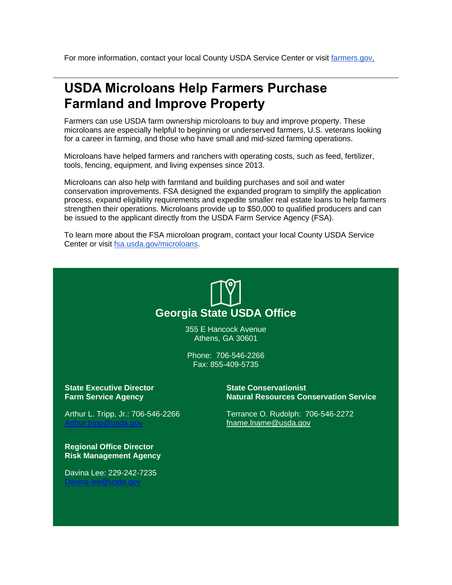For more information, contact your local County USDA Service Center or visit [farmers.gov.](https://www.farmers.gov/?utm_medium=email&utm_source=govdelivery)

## <span id="page-10-0"></span>**USDA Microloans Help Farmers Purchase Farmland and Improve Property**

Farmers can use USDA farm ownership microloans to buy and improve property. These microloans are especially helpful to beginning or underserved farmers, U.S. veterans looking for a career in farming, and those who have small and mid-sized farming operations.

Microloans have helped farmers and ranchers with operating costs, such as feed, fertilizer, tools, fencing, equipment, and living expenses since 2013.

Microloans can also help with farmland and building purchases and soil and water conservation improvements. FSA designed the expanded program to simplify the application process, expand eligibility requirements and expedite smaller real estate loans to help farmers strengthen their operations. Microloans provide up to \$50,000 to qualified producers and can be issued to the applicant directly from the USDA Farm Service Agency (FSA).

To learn more about the FSA microloan program, contact your local County USDA Service Center or visit **fsa.usda.gov/microloans**.



355 E Hancock Avenue Athens, GA 30601

Phone: 706-546-2266 Fax: 855-409-5735

**State Executive Director Farm Service Agency**

Arthur L. Tripp, Jr.: 706-546-2266 [Arthur.tripp@usda.gov](mailto:Arthur.tripp@usda.gov)

**Regional Office Director Risk Management Agency**

Davina Lee: 229-242-7235 [Davina.lee@usda.gov](mailto:Davina.lee@usda.gov)

**State Conservationist Natural Resources Conservation Service**

Terrance O. Rudolph: 706-546-2272 [fname.lname@usda.gov](mailto:fname.lname@usda.gov)